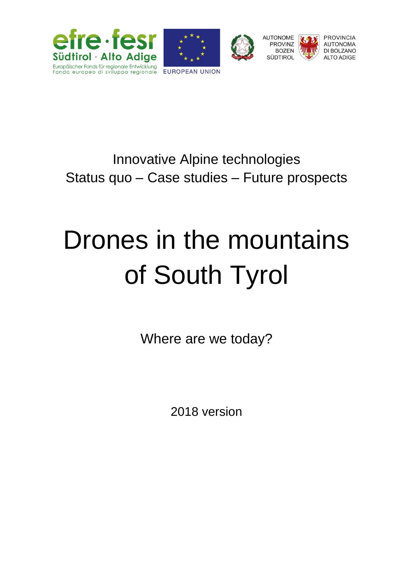

# Innovative Alpine technologies Status quo – Case studies – Future prospects

# Drones in the mountains of South Tyrol

Where are we today?

2018 version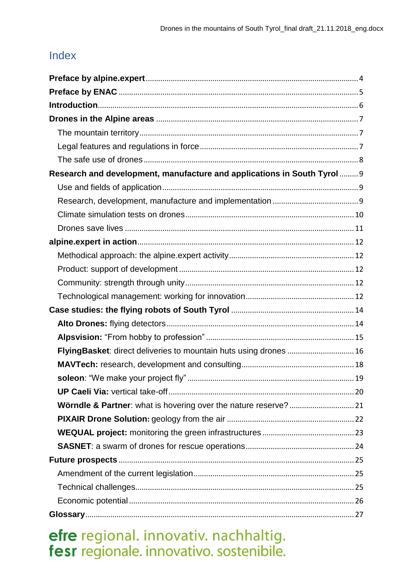## Index

| Research and development, manufacture and applications in South Tyrol 9 |
|-------------------------------------------------------------------------|
|                                                                         |
|                                                                         |
|                                                                         |
|                                                                         |
|                                                                         |
|                                                                         |
|                                                                         |
|                                                                         |
|                                                                         |
|                                                                         |
|                                                                         |
|                                                                         |
| FlyingBasket: direct deliveries to mountain huts using drones  16       |
|                                                                         |
|                                                                         |
|                                                                         |
|                                                                         |
|                                                                         |
|                                                                         |
|                                                                         |
|                                                                         |
|                                                                         |
|                                                                         |
|                                                                         |
|                                                                         |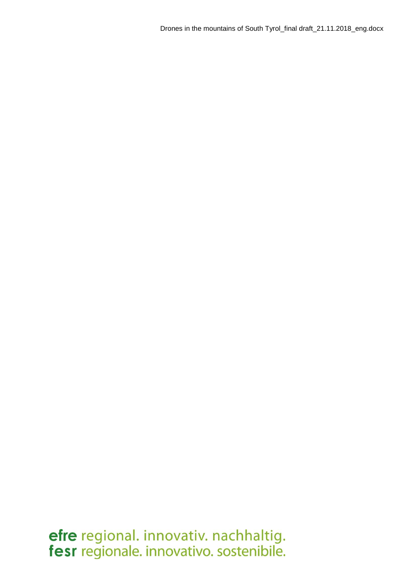Drones in the mountains of South Tyrol\_final draft\_21.11.2018\_eng.docx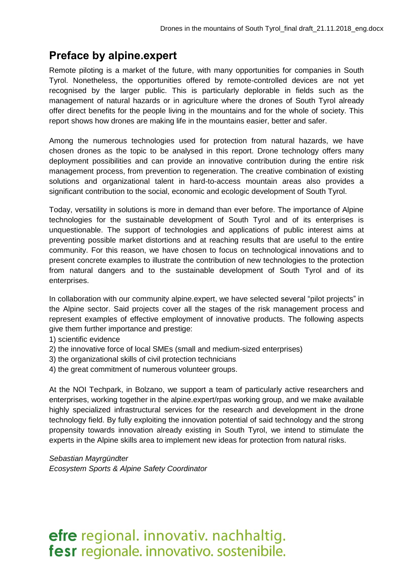### <span id="page-3-0"></span>**Preface by alpine.expert**

Remote piloting is a market of the future, with many opportunities for companies in South Tyrol. Nonetheless, the opportunities offered by remote-controlled devices are not yet recognised by the larger public. This is particularly deplorable in fields such as the management of natural hazards or in agriculture where the drones of South Tyrol already offer direct benefits for the people living in the mountains and for the whole of society. This report shows how drones are making life in the mountains easier, better and safer.

Among the numerous technologies used for protection from natural hazards, we have chosen drones as the topic to be analysed in this report. Drone technology offers many deployment possibilities and can provide an innovative contribution during the entire risk management process, from prevention to regeneration. The creative combination of existing solutions and organizational talent in hard-to-access mountain areas also provides a significant contribution to the social, economic and ecologic development of South Tyrol.

Today, versatility in solutions is more in demand than ever before. The importance of Alpine technologies for the sustainable development of South Tyrol and of its enterprises is unquestionable. The support of technologies and applications of public interest aims at preventing possible market distortions and at reaching results that are useful to the entire community. For this reason, we have chosen to focus on technological innovations and to present concrete examples to illustrate the contribution of new technologies to the protection from natural dangers and to the sustainable development of South Tyrol and of its enterprises.

In collaboration with our community alpine.expert, we have selected several "pilot projects" in the Alpine sector. Said projects cover all the stages of the risk management process and represent examples of effective employment of innovative products. The following aspects give them further importance and prestige:

- 1) scientific evidence
- 2) the innovative force of local SMEs (small and medium-sized enterprises)
- 3) the organizational skills of civil protection technicians
- 4) the great commitment of numerous volunteer groups.

At the NOI Techpark, in Bolzano, we support a team of particularly active researchers and enterprises, working together in the alpine.expert/rpas working group, and we make available highly specialized infrastructural services for the research and development in the drone technology field. By fully exploiting the innovation potential of said technology and the strong propensity towards innovation already existing in South Tyrol, we intend to stimulate the experts in the Alpine skills area to implement new ideas for protection from natural risks.

*Sebastian Mayrgündter Ecosystem Sports & Alpine Safety Coordinator*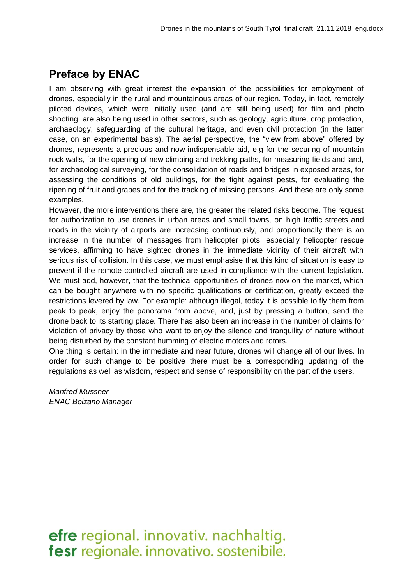# <span id="page-4-0"></span>**Preface by ENAC**

I am observing with great interest the expansion of the possibilities for employment of drones, especially in the rural and mountainous areas of our region. Today, in fact, remotely piloted devices, which were initially used (and are still being used) for film and photo shooting, are also being used in other sectors, such as geology, agriculture, crop protection, archaeology, safeguarding of the cultural heritage, and even civil protection (in the latter case, on an experimental basis). The aerial perspective, the "view from above" offered by drones, represents a precious and now indispensable aid, e.g for the securing of mountain rock walls, for the opening of new climbing and trekking paths, for measuring fields and land, for archaeological surveying, for the consolidation of roads and bridges in exposed areas, for assessing the conditions of old buildings, for the fight against pests, for evaluating the ripening of fruit and grapes and for the tracking of missing persons. And these are only some examples.

However, the more interventions there are, the greater the related risks become. The request for authorization to use drones in urban areas and small towns, on high traffic streets and roads in the vicinity of airports are increasing continuously, and proportionally there is an increase in the number of messages from helicopter pilots, especially helicopter rescue services, affirming to have sighted drones in the immediate vicinity of their aircraft with serious risk of collision. In this case, we must emphasise that this kind of situation is easy to prevent if the remote-controlled aircraft are used in compliance with the current legislation. We must add, however, that the technical opportunities of drones now on the market, which can be bought anywhere with no specific qualifications or certification, greatly exceed the restrictions levered by law. For example: although illegal, today it is possible to fly them from peak to peak, enjoy the panorama from above, and, just by pressing a button, send the drone back to its starting place. There has also been an increase in the number of claims for violation of privacy by those who want to enjoy the silence and tranquility of nature without being disturbed by the constant humming of electric motors and rotors.

One thing is certain: in the immediate and near future, drones will change all of our lives. In order for such change to be positive there must be a corresponding updating of the regulations as well as wisdom, respect and sense of responsibility on the part of the users.

*Manfred Mussner ENAC Bolzano Manager*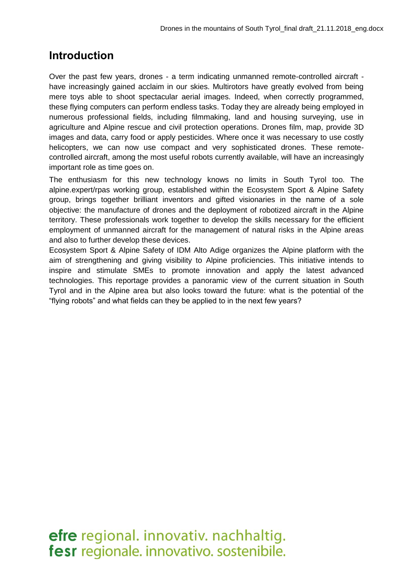### <span id="page-5-0"></span>**Introduction**

Over the past few years, drones - a term indicating unmanned remote-controlled aircraft have increasingly gained acclaim in our skies. Multirotors have greatly evolved from being mere toys able to shoot spectacular aerial images. Indeed, when correctly programmed, these flying computers can perform endless tasks. Today they are already being employed in numerous professional fields, including filmmaking, land and housing surveying, use in agriculture and Alpine rescue and civil protection operations. Drones film, map, provide 3D images and data, carry food or apply pesticides. Where once it was necessary to use costly helicopters, we can now use compact and very sophisticated drones. These remotecontrolled aircraft, among the most useful robots currently available, will have an increasingly important role as time goes on.

The enthusiasm for this new technology knows no limits in South Tyrol too. The alpine.expert/rpas working group, established within the Ecosystem Sport & Alpine Safety group, brings together brilliant inventors and gifted visionaries in the name of a sole objective: the manufacture of drones and the deployment of robotized aircraft in the Alpine territory. These professionals work together to develop the skills necessary for the efficient employment of unmanned aircraft for the management of natural risks in the Alpine areas and also to further develop these devices.

Ecosystem Sport & Alpine Safety of IDM Alto Adige organizes the Alpine platform with the aim of strengthening and giving visibility to Alpine proficiencies. This initiative intends to inspire and stimulate SMEs to promote innovation and apply the latest advanced technologies. This reportage provides a panoramic view of the current situation in South Tyrol and in the Alpine area but also looks toward the future: what is the potential of the "flying robots" and what fields can they be applied to in the next few years?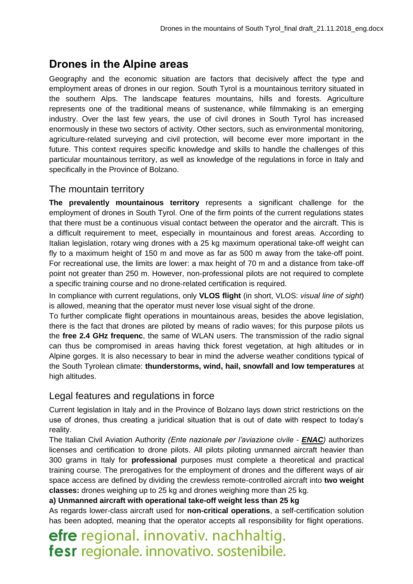### <span id="page-6-0"></span>**Drones in the Alpine areas**

Geography and the economic situation are factors that decisively affect the type and employment areas of drones in our region. South Tyrol is a mountainous territory situated in the southern Alps. The landscape features mountains, hills and forests. Agriculture represents one of the traditional means of sustenance, while filmmaking is an emerging industry. Over the last few years, the use of civil drones in South Tyrol has increased enormously in these two sectors of activity. Other sectors, such as environmental monitoring, agriculture-related surveying and civil protection, will become ever more important in the future. This context requires specific knowledge and skills to handle the challenges of this particular mountainous territory, as well as knowledge of the regulations in force in Italy and specifically in the Province of Bolzano.

#### <span id="page-6-1"></span>The mountain territory

**The prevalently mountainous territory** represents a significant challenge for the employment of drones in South Tyrol. One of the firm points of the current regulations states that there must be a continuous visual contact between the operator and the aircraft. This is a difficult requirement to meet, especially in mountainous and forest areas. According to Italian legislation, rotary wing drones with a 25 kg maximum operational take-off weight can fly to a maximum height of 150 m and move as far as 500 m away from the take-off point. For recreational use, the limits are lower: a max height of 70 m and a distance from take-off point not greater than 250 m. However, non-professional pilots are not required to complete a specific training course and no drone-related certification is required.

In compliance with current regulations, only **VLOS flight** (in short, VLOS: *visual line of sight*) is allowed, meaning that the operator must never lose visual sight of the drone.

To further complicate flight operations in mountainous areas, besides the above legislation, there is the fact that drones are piloted by means of radio waves; for this purpose pilots us the **free 2.4 GHz frequenc**, the same of WLAN users. The transmission of the radio signal can thus be compromised in areas having thick forest vegetation, at high altitudes or in Alpine gorges. It is also necessary to bear in mind the adverse weather conditions typical of the South Tyrolean climate: **thunderstorms, wind, hail, snowfall and low temperatures** at high altitudes.

#### <span id="page-6-2"></span>Legal features and regulations in force

Current legislation in Italy and in the Province of Bolzano lays down strict restrictions on the use of drones, thus creating a juridical situation that is out of date with respect to today's reality.

The Italian Civil Aviation Authority *(Ente nazionale per l'aviazione civile* - *[ENAC](https://www.enac.gov.it/Home/))* authorizes licenses and certification to drone pilots. All pilots piloting unmanned aircraft heavier than 300 grams in Italy for **professional** purposes must complete a theoretical and practical training course. The prerogatives for the employment of drones and the different ways of air space access are defined by dividing the crewless remote-controlled aircraft into **two weight classes:** drones weighing up to 25 kg and drones weighing more than 25 kg.

#### **a) Unmanned aircraft with operational take-off weight less than 25 kg**

As regards lower-class aircraft used for **non-critical operations**, a self-certification solution has been adopted, meaning that the operator accepts all responsibility for flight operations.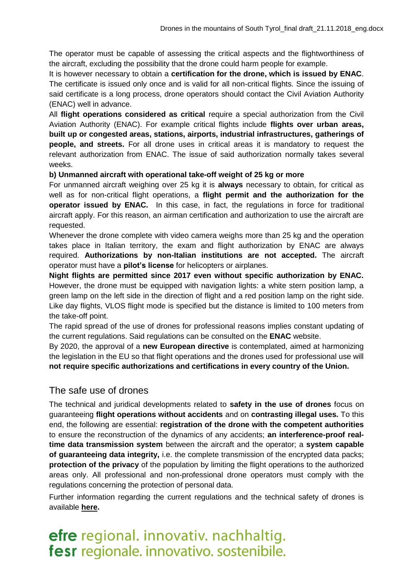The operator must be capable of assessing the critical aspects and the flightworthiness of the aircraft, excluding the possibility that the drone could harm people for example.

It is however necessary to obtain a **certification for the drone, which is issued by ENAC**. The certificate is issued only once and is valid for all non-critical flights. Since the issuing of said certificate is a long process, drone operators should contact the Civil Aviation Authority (ENAC) well in advance.

All **flight operations considered as critical** require a special authorization from the Civil Aviation Authority (ENAC). For example critical flights include **flights over urban areas, built up or congested areas, stations, airports, industrial infrastructures, gatherings of people, and streets.** For all drone uses in critical areas it is mandatory to request the relevant authorization from ENAC. The issue of said authorization normally takes several weeks.

#### **b) Unmanned aircraft with operational take-off weight of 25 kg or more**

For unmanned aircraft weighing over 25 kg it is **always** necessary to obtain, for critical as well as for non-critical flight operations, a **flight permit and the authorization for the operator issued by ENAC.** In this case, in fact, the regulations in force for traditional aircraft apply. For this reason, an airman certification and authorization to use the aircraft are requested.

Whenever the drone complete with video camera weighs more than 25 kg and the operation takes place in Italian territory, the exam and flight authorization by ENAC are always required. **Authorizations by non-Italian institutions are not accepted.** The aircraft operator must have a **pilot's license** for helicopters or airplanes.

**Night flights are permitted since 2017 even without specific authorization by ENAC.**  However, the drone must be equipped with navigation lights: a white stern position lamp, a green lamp on the left side in the direction of flight and a red position lamp on the right side. Like day flights, VLOS flight mode is specified but the distance is limited to 100 meters from the take-off point.

The rapid spread of the use of drones for professional reasons implies constant updating of the current regulations. Said regulations can be consulted on the **ENAC** website.

By 2020, the approval of a **new European directive** is contemplated, aimed at harmonizing the legislation in the EU so that flight operations and the drones used for professional use will **not require specific authorizations and certifications in every country of the Union.**

#### <span id="page-7-0"></span>The safe use of drones

The technical and juridical developments related to **safety in the use of drones** focus on guaranteeing **flight operations without accidents** and on **contrasting illegal uses.** To this end, the following are essential: **registration of the drone with the competent authorities**  to ensure the reconstruction of the dynamics of any accidents; **an interference-proof realtime data transmission system** between the aircraft and the operator; a **system capable of guaranteeing data integrity,** i.e. the complete transmission of the encrypted data packs; **protection of the privacy** of the population by limiting the flight operations to the authorized areas only. All professional and non-professional drone operators must comply with the regulations concerning the protection of personal data.

Further information regarding the current regulations and the technical safety of drones is available **here.**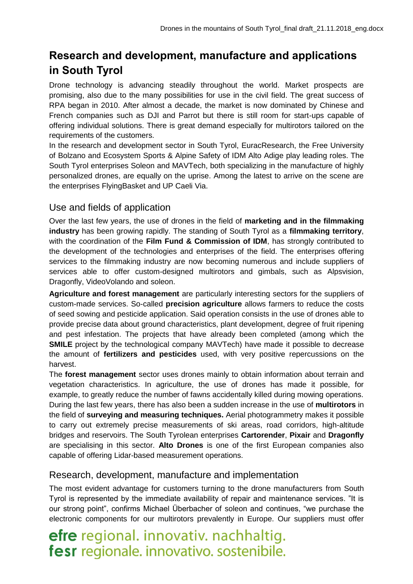# <span id="page-8-0"></span>**Research and development, manufacture and applications in South Tyrol**

Drone technology is advancing steadily throughout the world. Market prospects are promising, also due to the many possibilities for use in the civil field. The great success of RPA began in 2010. After almost a decade, the market is now dominated by Chinese and French companies such as DJI and Parrot but there is still room for start-ups capable of offering individual solutions. There is great demand especially for multirotors tailored on the requirements of the customers.

In the research and development sector in South Tyrol, [EuracResearch,](http://www.eurac.edu/en/pages/default.aspx) the [Free University](https://www.unibz.it/it/)  [of Bolzano](https://www.unibz.it/it/) and [Ecosystem Sports & Alpine Safety](https://www.idm-suedtirol.com/it/sviluppo-del-territorio/ecosystem/ecosystem-sports-alpine-safety.html) of IDM Alto Adige play leading roles. The South Tyrol enterprises [Soleon](https://www.soleon.it/it) and [MAVTech,](http://www.mavtech.eu/it/) both specializing in the manufacture of highly personalized drones, are equally on the uprise. Among the latest to arrive on the scene are the enterprises [FlyingBasket](https://flyingbasket.it/it/) and [UP Caeli Via.](http://www.up-caelivia.it/)

#### <span id="page-8-1"></span>Use and fields of application

Over the last few years, the use of drones in the field of **marketing and in the filmmaking industry** has been growing rapidly. The standing of South Tyrol as a **filmmaking territory**, with the coordination of the **Film Fund & Commission of IDM**, has strongly contributed to the development of the technologies and enterprises of the field. The enterprises offering services to the filmmaking industry are now becoming numerous and include suppliers of services able to offer custom-designed multirotors and gimbals, such as [Alpsvision,](https://www.alpsvision.it/it/) [Dragonfly,](https://www.dragonfly-service.com/de/) [VideoVolando](http://www.videovolando.com/) and [soleon.](https://www.soleon.it/it)

**Agriculture and forest management** are particularly interesting sectors for the suppliers of custom-made services. So-called **precision agriculture** allows farmers to reduce the costs of seed sowing and pesticide application. Said operation consists in the use of drones able to provide precise data about ground characteristics, plant development, degree of fruit ripening and pest infestation. The projects that have already been completed (among which the **[SMILE](http://www.mavtech.eu/it/applicazioni/agricoltura-di-precisione/)** project by the technological company [MAVTech\)](http://www.mavtech.eu/it/) have made it possible to decrease the amount of **fertilizers and pesticides** used, with very positive repercussions on the harvest.

The **forest management** sector uses drones mainly to obtain information about terrain and vegetation characteristics. In agriculture, the use of drones has made it possible, for example, to greatly reduce the number of fawns accidentally killed during mowing operations. During the last few years, there has also been a sudden increase in the use of **multirotors** in the field of **surveying and measuring techniques.** Aerial photogrammetry makes it possible to carry out extremely precise measurements of ski areas, road corridors, high-altitude bridges and reservoirs. The South Tyrolean enterprises **[Cartorender](http://www.cartorender.com/it/home)**, **[Pixair](http://www.pixair-dronesolution.it/)** and **[Dragonfly](https://www.dragonfly-service.com/de/)** are specialising in this sector. **[Alto Drones](https://www.alto-drones.com/)** is one of the first European companies also capable of offering Lidar-based measurement operations.

#### <span id="page-8-2"></span>Research, development, manufacture and implementation

The most evident advantage for customers turning to the drone manufacturers from South Tyrol is represented by the immediate availability of repair and maintenance services. "It is our strong point", confirms Michael Überbacher of [soleon](https://www.soleon.it/it) and continues, "we purchase the electronic components for our multirotors prevalently in Europe. Our suppliers must offer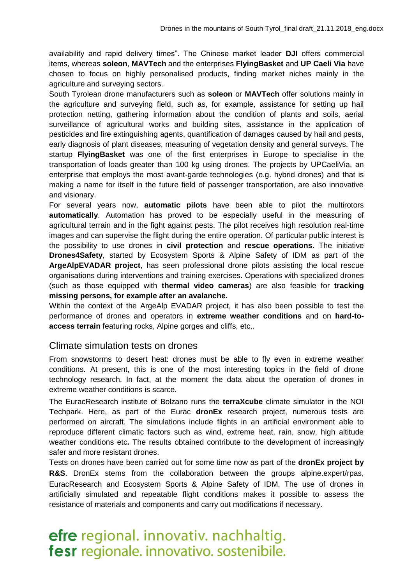availability and rapid delivery times". The Chinese market leader **DJI** offers commercial items, whereas **[soleon](https://www.soleon.it/it)**, **[MAVTech](http://www.mavtech.eu/it/)** and the enterprises **[FlyingBasket](https://flyingbasket.it/it/)** and **[UP Caeli Via](http://www.up-caelivia.it/)** have chosen to focus on highly personalised products, finding market niches mainly in the agriculture and surveying sectors.

South Tyrolean drone manufacturers such as **[soleon](https://www.soleon.it/it)** or **[MAVTech](http://www.mavtech.eu/it/)** offer solutions mainly in the agriculture and surveying field, such as, for example, assistance for setting up hail protection netting, gathering information about the condition of plants and soils, aerial surveillance of agricultural works and building sites, assistance in the application of pesticides and fire extinguishing agents, quantification of damages caused by hail and pests, early diagnosis of plant diseases, measuring of vegetation density and general surveys. The startup **FlyingBasket** was one of the first enterprises in Europe to specialise in the transportation of loads greater than 100 kg using drones. The projects by [UPCaeliVia,](http://www.up-caelivia.it/) an enterprise that employs the most avant-garde technologies (e.g. hybrid drones) and that is making a name for itself in the future field of passenger transportation, are also innovative and visionary.

For several years now, **automatic pilots** have been able to pilot the multirotors **automatically**. Automation has proved to be especially useful in the measuring of agricultural terrain and in the fight against pests. The pilot receives high resolution real-time images and can supervise the flight during the entire operation. Of particular public interest is the possibility to use drones in **civil protection** and **rescue operations**. The initiative **[Drones4Safety](https://www.idm-suedtirol.com/it/eventi/82-drones4safety.html)**, started by [Ecosystem Sports & Alpine Safety of IDM](https://www.idm-suedtirol.com/it/sviluppo-del-territorio/ecosystem/ecosystem-sports-alpine-safety.html) as part of the **ArgeAl[pEVADAR](http://it.argealp.org/progetti/altri-progetti/evadar) project**, has seen professional drone pilots assisting the local rescue organisations during interventions and training exercises. Operations with specialized drones (such as those equipped with **thermal video cameras**) are also feasible for **tracking missing persons, for example after an avalanche.**

Within the context of the ArgeAlp EVADAR project, it has also been possible to test the performance of drones and operators in **extreme weather conditions** and on **hard-toaccess terrain** featuring rocks, Alpine gorges and cliffs, etc..

#### <span id="page-9-0"></span>Climate simulation tests on drones

From snowstorms to desert heat: drones must be able to fly even in extreme weather conditions. At present, this is one of the most interesting topics in the field of drone technology research. In fact, at the moment the data about the operation of drones in extreme weather conditions is scarce.

The EuracResearch institute of Bolzano runs the **terraXcube** climate simulator in the NOI Techpark. Here, as part of the Eurac **[dronEx](https://terraxcube.eurac.edu/it/projects/dronex/)** research project, numerous tests are performed on aircraft. The simulations include flights in an artificial environment able to reproduce different climatic factors such as wind, extreme heat, rain, snow, high altitude weather conditions etc**.** The results obtained contribute to the development of increasingly safer and more resistant drones.

Tests on drones have been carried out for some time now as part of the **dronEx project by R&S**. DronEx stems from the collaboration between the groups alpine.expert/rpas, EuracResearch and Ecosystem Sports & Alpine Safety of IDM. The use of drones in artificially simulated and repeatable flight conditions makes it possible to assess the resistance of materials and components and carry out modifications if necessary.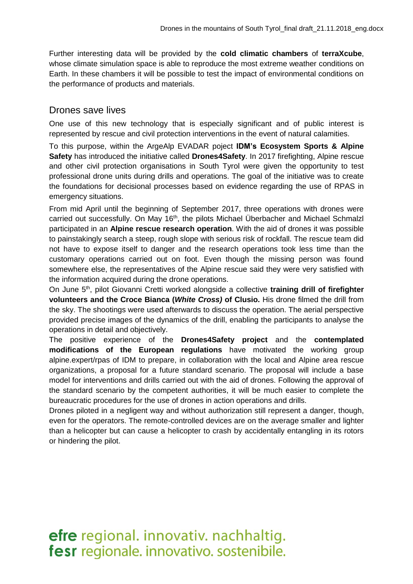Further interesting data will be provided by the **cold climatic chambers** of **[terraXcube](https://terraxcube.eurac.edu/it/)**, whose climate simulation space is able to reproduce the most extreme weather conditions on Earth. In these chambers it will be possible to test the impact of environmental conditions on the performance of products and materials.

#### <span id="page-10-0"></span>Drones save lives

One use of this new technology that is especially significant and of public interest is represented by rescue and civil protection interventions in the event of natural calamities.

To this purpose, within the ArgeAlp EVADAR poject **IDM's Ecosystem Sports & Alpine Safety** has introduced the initiative called **[Drones4Safety](https://www.idm-suedtirol.com/it/eventi/82-drones4safety.html)**. In 2017 firefighting, Alpine rescue and other civil protection organisations in South Tyrol were given the opportunity to test professional drone units during drills and operations. The goal of the initiative was to create the foundations for decisional processes based on evidence regarding the use of RPAS in emergency situations.

From mid April until the beginning of September 2017, three operations with drones were carried out successfully. On May 16<sup>th</sup>, the pilots Michael Überbacher and Michael Schmalzl participated in an **Alpine rescue research operation**. With the aid of drones it was possible to painstakingly search a steep, rough slope with serious risk of rockfall. The rescue team did not have to expose itself to danger and the research operations took less time than the customary operations carried out on foot. Even though the missing person was found somewhere else, the representatives of the Alpine rescue said they were very satisfied with the information acquired during the drone operations.

On June 5th, pilot Giovanni Cretti worked alongside a collective **training drill of firefighter volunteers and the Croce Bianca (***White Cross)* **of Clusio.** His drone filmed the drill from the sky. The shootings were used afterwards to discuss the operation. The aerial perspective provided precise images of the dynamics of the drill, enabling the participants to analyse the operations in detail and objectively.

The positive experience of the **Drones4Safety project** and the **contemplated modifications of the European regulations** have motivated the working group alpine.expert/rpas of IDM to prepare, in collaboration with the local and Alpine area rescue organizations, a proposal for a future standard scenario. The proposal will include a base model for interventions and drills carried out with the aid of drones. Following the approval of the standard scenario by the competent authorities, it will be much easier to complete the bureaucratic procedures for the use of drones in action operations and drills.

Drones piloted in a negligent way and without authorization still represent a danger, though, even for the operators. The remote-controlled devices are on the average smaller and lighter than a helicopter but can cause a helicopter to crash by accidentally entangling in its rotors or hindering the pilot.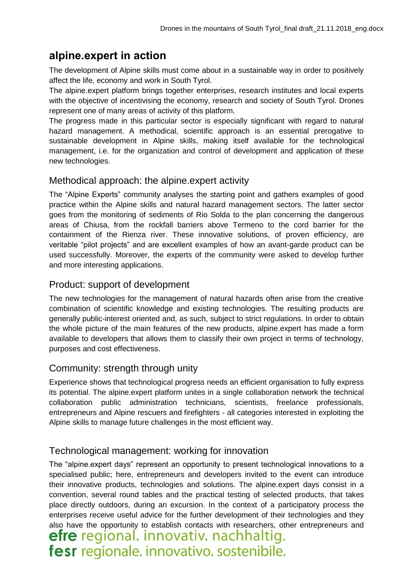### <span id="page-11-0"></span>**alpine.expert in action**

The development of Alpine skills must come about in a sustainable way in order to positively affect the life, economy and work in South Tyrol.

The alpine.expert platform brings together enterprises, research institutes and local experts with the objective of incentivising the economy, research and society of South Tyrol. Drones represent one of many areas of activity of this platform.

The progress made in this particular sector is especially significant with regard to natural hazard management. A methodical, scientific approach is an essential prerogative to sustainable development in Alpine skills, making itself available for the technological management, i.e. for the organization and control of development and application of these new technologies.

#### <span id="page-11-1"></span>Methodical approach: the alpine.expert activity

The "Alpine Experts" community analyses the starting point and gathers examples of good practice within the Alpine skills and natural hazard management sectors. The latter sector goes from the monitoring of sediments of Rio Solda to the plan concerning the dangerous areas of Chiusa, from the rockfall barriers above Termeno to the cord barrier for the containment of the Rienza river. These innovative solutions, of proven efficiency, are veritable "pilot projects" and are excellent examples of how an avant-garde product can be used successfully. Moreover, the experts of the community were asked to develop further and more interesting applications.

#### <span id="page-11-2"></span>Product: support of development

The new technologies for the management of natural hazards often arise from the creative combination of scientific knowledge and existing technologies. The resulting products are generally public-interest oriented and, as such, subject to strict regulations. In order to obtain the whole picture of the main features of the new products, alpine.expert has made a form available to developers that allows them to classify their own project in terms of technology, purposes and cost effectiveness.

#### <span id="page-11-3"></span>Community: strength through unity

Experience shows that technological progress needs an efficient organisation to fully express its potential. The alpine.expert platform unites in a single collaboration network the technical collaboration public administration technicians, scientists, freelance professionals, entrepreneurs and Alpine rescuers and firefighters - all categories interested in exploiting the Alpine skills to manage future challenges in the most efficient way.

#### <span id="page-11-4"></span>Technological management: working for innovation

The "alpine.expert days" represent an opportunity to present technological innovations to a specialised public; here, entrepreneurs and developers invited to the event can introduce their innovative products, technologies and solutions. The alpine.expert days consist in a convention, several round tables and the practical testing of selected products, that takes place directly outdoors, during an excursion. In the context of a participatory process the enterprises receive useful advice for the further development of their technologies and they also have the opportunity to establish contacts with researchers, other entrepreneurs and **efre** regional. innovativ. nachhaltig. fesr regionale. innovativo. sostenibile.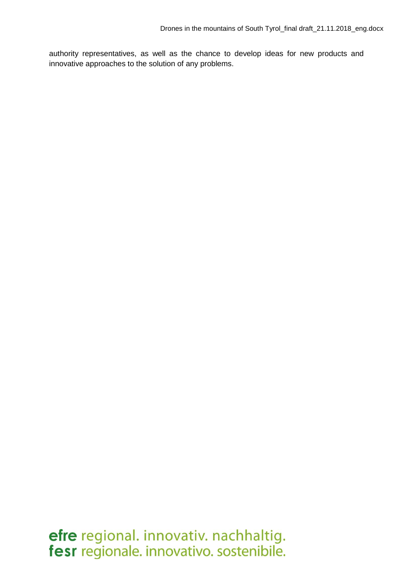authority representatives, as well as the chance to develop ideas for new products and innovative approaches to the solution of any problems.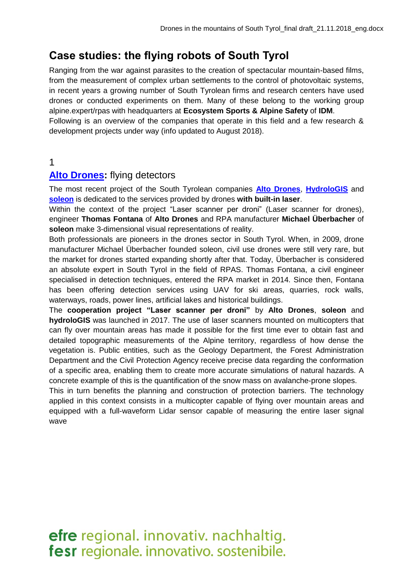### <span id="page-13-0"></span>**Case studies: the flying robots of South Tyrol**

Ranging from the war against parasites to the creation of spectacular mountain-based films, from the measurement of complex urban settlements to the control of photovoltaic systems, in recent years a growing number of South Tyrolean firms and research centers have used drones or conducted experiments on them. Many of these belong to the working group alpine.expert/rpas with headquarters at **[Ecosystem Sports & Alpine Safety](https://www.idm-suedtirol.com/it/sviluppo-del-territorio/ecosystem/ecosystem-sports-alpine-safety.html)** of **IDM**.

Following is an overview of the companies that operate in this field and a few research & development projects under way (info updated to August 2018).

#### 1

#### <span id="page-13-1"></span>**[Alto Drones:](https://www.alto-drones.com/en/)** flying detectors

The most recent project of the South Tyrolean companies **[Alto Drones](https://www.alto-drones.com/en/)**, **[HydroloGIS](https://www.hydrologis.com/)** and **[soleon](https://www.soleon.it/it/)** is dedicated to the services provided by drones **with built-in laser**.

Within the context of the project "Laser scanner per droni" (Laser scanner for drones), engineer **Thomas Fontana** of **Alto Drones** and RPA manufacturer **Michael Überbacher** of **soleon** make 3-dimensional visual representations of reality.

Both professionals are pioneers in the drones sector in South Tyrol. When, in 2009, drone manufacturer Michael Überbacher founded soleon, civil use drones were still very rare, but the market for drones started expanding shortly after that. Today, Überbacher is considered an absolute expert in South Tyrol in the field of RPAS. Thomas Fontana, a civil engineer specialised in detection techniques, entered the RPA market in 2014. Since then, Fontana has been offering detection services using UAV for ski areas, quarries, rock walls, waterways, roads, power lines, artificial lakes and historical buildings.

The **cooperation project "Laser scanner per droni"** by **Alto Drones**, **soleon** and **hydroloGIS** was launched in 2017. The use of laser scanners mounted on multicopters that can fly over mountain areas has made it possible for the first time ever to obtain fast and detailed topographic measurements of the Alpine territory, regardless of how dense the vegetation is. Public entities, such as the Geology Department, the Forest Administration Department and the Civil Protection Agency receive precise data regarding the conformation of a specific area, enabling them to create more accurate simulations of natural hazards. A concrete example of this is the quantification of the snow mass on avalanche-prone slopes.

This in turn benefits the planning and construction of protection barriers. The technology applied in this context consists in a multicopter capable of flying over mountain areas and equipped with a full-waveform Lidar sensor capable of measuring the entire laser signal wave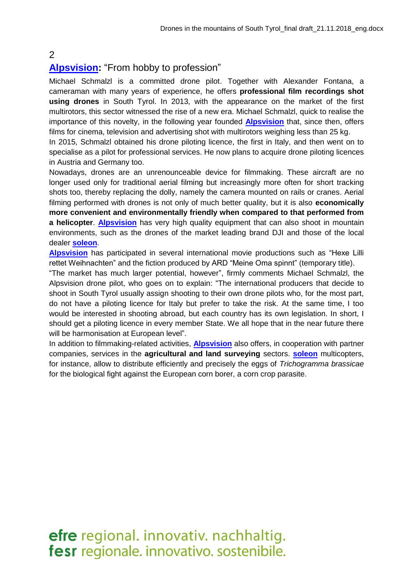#### 2

#### <span id="page-14-0"></span>**[Alpsvision:](https://www.alpsvision.it/it/)** "From hobby to profession"

Michael Schmalzl is a committed drone pilot. Together with Alexander Fontana, a cameraman with many years of experience, he offers **professional film recordings shot using drones** in South Tyrol. In 2013, with the appearance on the market of the first multirotors, this sector witnessed the rise of a new era. Michael Schmalzl, quick to realise the importance of this novelty, in the following year founded **[Alpsvision](https://www.alpsvision.it/it/)** that, since then, offers films for cinema, television and advertising shot with multirotors weighing less than 25 kg.

In 2015, Schmalzl obtained his drone piloting licence, the first in Italy, and then went on to specialise as a pilot for professional services. He now plans to acquire drone piloting licences in Austria and Germany too.

Nowadays, drones are an unrenounceable device for filmmaking. These aircraft are no longer used only for traditional aerial filming but increasingly more often for short tracking shots too, thereby replacing the dolly, namely the camera mounted on rails or cranes. Aerial filming performed with drones is not only of much better quality, but it is also **economically more convenient and environmentally friendly when compared to that performed from a helicopter**. **[Alpsvision](https://www.alpsvision.it/it/)** has very high quality equipment that can also shoot in mountain environments, such as the drones of the market leading brand DJI and those of the local dealer **[soleon](https://www.soleon.it/it)**.

**[Alpsvision](https://www.alpsvision.it/it/)** has participated in several international movie productions such as "Hexe Lilli rettet Weihnachten" and the fiction produced by ARD "Meine Oma spinnt" (temporary title).

"The market has much larger potential, however", firmly comments Michael Schmalzl, the Alpsvision drone pilot, who goes on to explain: "The international producers that decide to shoot in South Tyrol usually assign shooting to their own drone pilots who, for the most part, do not have a piloting licence for Italy but prefer to take the risk. At the same time, I too would be interested in shooting abroad, but each country has its own legislation. In short, I should get a piloting licence in every member State. We all hope that in the near future there will be harmonisation at European level".

In addition to filmmaking-related activities, **[Alpsvision](https://www.alpsvision.it/it/)** also offers, in cooperation with partner companies, services in the **agricultural and land surveying** sectors. **[soleon](https://www.soleon.it/it)** multicopters, for instance, allow to distribute efficiently and precisely the eggs of *Trichogramma brassicae* for the biological fight against the European corn borer, a corn crop parasite.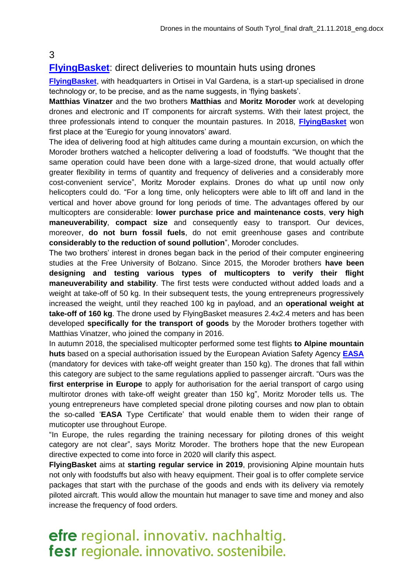3

#### <span id="page-15-0"></span>**[FlyingBasket](https://flyingbasket.it/it/)**: direct deliveries to mountain huts using drones

**[FlyingBasket](https://flyingbasket.it/it/)**, with headquarters in Ortisei in Val Gardena, is a start-up specialised in drone technology or, to be precise, and as the name suggests, in 'flying baskets'.

**Matthias Vinatzer** and the two brothers **Matthias** and **Moritz Moroder** work at developing drones and electronic and IT components for aircraft systems. With their latest project, the three professionals intend to conquer the mountain pastures. In 2018, **[FlyingBasket](https://flyingbasket.it/it/)** won first place at the 'Euregio for young innovators' award.

The idea of delivering food at high altitudes came during a mountain excursion, on which the Moroder brothers watched a helicopter delivering a load of foodstuffs. "We thought that the same operation could have been done with a large-sized drone, that would actually offer greater flexibility in terms of quantity and frequency of deliveries and a considerably more cost-convenient service", Moritz Moroder explains. Drones do what up until now only helicopters could do. "For a long time, only helicopters were able to lift off and land in the vertical and hover above ground for long periods of time. The advantages offered by our multicopters are considerable: **lower purchase price and maintenance costs**, **very high maneuverability**, **compact size** and consequently easy to transport. Our devices, moreover, **do not burn fossil fuels**, do not emit greenhouse gases and contribute **considerably to the reduction of sound pollution**", Moroder concludes.

The two brothers' interest in drones began back in the period of their computer engineering studies at the Free University of Bolzano. Since 2015, the Moroder brothers **have been designing and testing various types of multicopters to verify their flight maneuverability and stability**. The first tests were conducted without added loads and a weight at take-off of 50 kg. In their subsequent tests, the young entrepreneurs progressively increased the weight, until they reached 100 kg in payload, and an **operational weight at take-off of 160 kg**. The drone used by FlyingBasket measures 2.4x2.4 meters and has been developed **specifically for the transport of goods** by the Moroder brothers together with Matthias Vinatzer, who joined the company in 2016.

In autumn 2018, the specialised multicopter performed some test flights **to Alpine mountain huts** based on a special authorisation issued by the European Aviation Safety Agency **[EASA](https://www.easa.europa.eu/)** (mandatory for devices with take-off weight greater than 150 kg). The drones that fall within this category are subject to the same regulations applied to passenger aircraft. "Ours was the **first enterprise in Europe** to apply for authorisation for the aerial transport of cargo using multirotor drones with take-off weight greater than 150 kg", Moritz Moroder tells us. The young entrepreneurs have completed special drone piloting courses and now plan to obtain the so-called '**EASA** Type Certificate' that would enable them to widen their range of muticopter use throughout Europe.

"In Europe, the rules regarding the training necessary for piloting drones of this weight category are not clear", says Moritz Moroder. The brothers hope that the new European directive expected to come into force in 2020 will clarify this aspect.

**FlyingBasket** aims at **starting regular service in 2019**, provisioning Alpine mountain huts not only with foodstuffs but also with heavy equipment. Their goal is to offer complete service packages that start with the purchase of the goods and ends with its delivery via remotely piloted aircraft. This would allow the mountain hut manager to save time and money and also increase the frequency of food orders.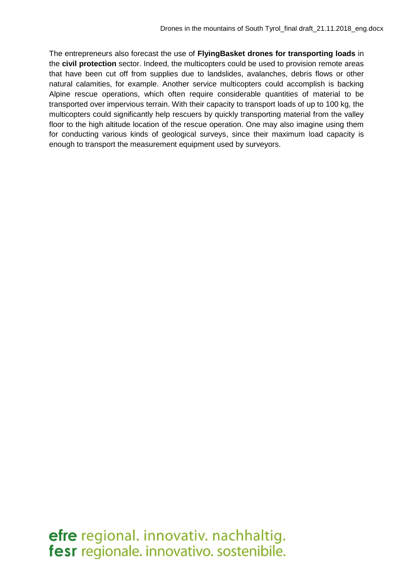The entrepreneurs also forecast the use of **FlyingBasket drones for transporting loads** in the **civil protection** sector. Indeed, the multicopters could be used to provision remote areas that have been cut off from supplies due to landslides, avalanches, debris flows or other natural calamities, for example. Another service multicopters could accomplish is backing Alpine rescue operations, which often require considerable quantities of material to be transported over impervious terrain. With their capacity to transport loads of up to 100 kg, the multicopters could significantly help rescuers by quickly transporting material from the valley floor to the high altitude location of the rescue operation. One may also imagine using them for conducting various kinds of geological surveys, since their maximum load capacity is enough to transport the measurement equipment used by surveyors.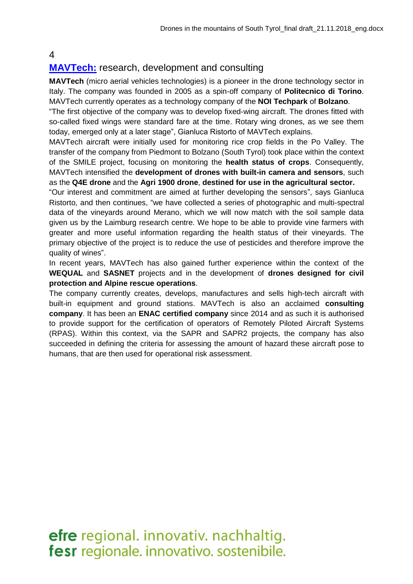#### 4

#### <span id="page-17-0"></span>**[MAVTech:](http://www.mavtech.eu/)** research, development and consulting

**MAVTech** (micro aerial vehicles technologies) is a pioneer in the drone technology sector in Italy. The company was founded in 2005 as a spin-off company of **[Politecnico di Torino](https://www.polito.it/)**. MAVTech currently operates as a technology company of the **NOI Techpark** of **Bolzano**.

"The first objective of the company was to develop fixed-wing aircraft. The drones fitted with so-called fixed wings were standard fare at the time. Rotary wing drones, as we see them today, emerged only at a later stage", Gianluca Ristorto of MAVTech explains.

MAVTech aircraft were initially used for monitoring rice crop fields in the Po Valley. The transfer of the company from Piedmont to Bolzano (South Tyrol) took place within the context of the SMILE project, focusing on monitoring the **health status of crops**. Consequently, MAVTech intensified the **development of drones with built-in camera and sensors**, such as the **[Q4E](http://www.mavtech.eu/it/prodotti/drone-q4e/) drone** and the **[Agri 1900](http://www.mavtech.eu/it/prodotti/agri-1900/) drone**, **destined for use in the agricultural sector.**

"Our interest and commitment are aimed at further developing the sensors", says Gianluca Ristorto, and then continues, "we have collected a series of photographic and multi-spectral data of the vineyards around Merano, which we will now match with the soil sample data given us by the Laimburg research centre. We hope to be able to provide vine farmers with greater and more useful information regarding the health status of their vineyards. The primary objective of the project is to reduce the use of pesticides and therefore improve the quality of wines".

In recent years, MAVTech has also gained further experience within the context of the **[WEQUAL](http://www.mavtech.eu/en/company/projects/wequal/)** and **[SASNET](http://www.mavtech.eu/it/azienda/progetti/sasnet/)** projects and in the development of **drones designed for civil protection and Alpine rescue operations**.

The company currently creates, develops, manufactures and sells high-tech aircraft with built-in equipment and ground stations. MAVTech is also an acclaimed **consulting company**. It has been an **ENAC certified company** since 2014 and as such it is authorised to provide support for the certification of operators of Remotely Piloted Aircraft Systems (RPAS). Within this context, via the SAPR and SAPR2 projects, the company has also succeeded in defining the criteria for assessing the amount of hazard these aircraft pose to humans, that are then used for operational risk assessment.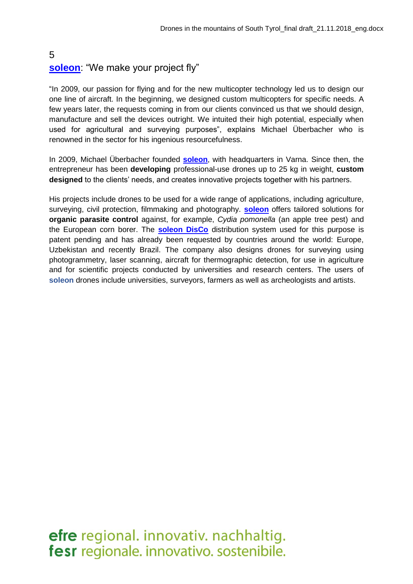#### <span id="page-18-0"></span>5 **[soleon](https://www.soleon.it/it)**: "We make your project fly"

"In 2009, our passion for flying and for the new multicopter technology led us to design our one line of aircraft. In the beginning, we designed custom multicopters for specific needs. A few years later, the requests coming in from our clients convinced us that we should design, manufacture and sell the devices outright. We intuited their high potential, especially when used for agricultural and surveying purposes", explains Michael Überbacher who is renowned in the sector for his ingenious resourcefulness.

In 2009, Michael Überbacher founded **[soleon](https://www.soleon.it/it/progetti/soleon-thermo)**, with headquarters in Varna. Since then, the entrepreneur has been **developing** professional-use drones up to 25 kg in weight, **custom designed** to the clients' needs, and creates innovative projects together with his partners.

His projects include drones to be used for a wide range of applications, including agriculture, surveying, civil protection, filmmaking and photography. **[soleon](https://www.soleon.it/it/progetti/soleon-thermo)** offers tailored solutions for **organic parasite control** against, for example, *Cydia pomonella* (an apple tree pest) and the European corn borer. The **[soleon DisCo](https://www.soleon.it/it/progetti/soleon-agro)** distribution system used for this purpose is patent pending and has already been requested by countries around the world: Europe, Uzbekistan and recently Brazil. The company also designs drones for surveying using photogrammetry, laser scanning, aircraft for thermographic detection, for use in agriculture and for scientific projects conducted by universities and research centers. The users of **soleon** drones include universities, surveyors, farmers as well as archeologists and artists.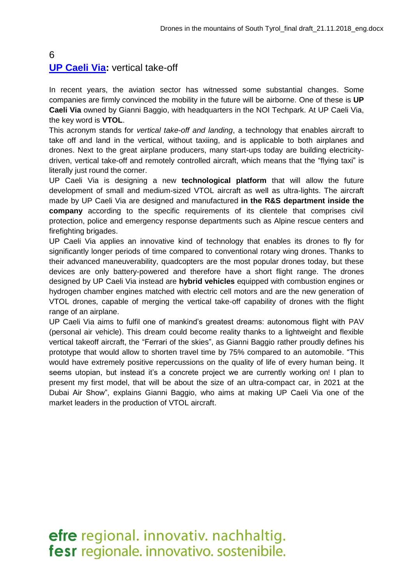#### <span id="page-19-0"></span>6 **[UP Caeli Via:](http://www.up-caelivia.it/)** vertical take-off

In recent years, the aviation sector has witnessed some substantial changes. Some companies are firmly convinced the mobility in the future will be airborne. One of these is **UP Caeli Via** owned by Gianni Baggio, with headquarters in the NOI Techpark. At UP Caeli Via, the key word is **VTOL**.

This acronym stands for *vertical take-off and landing*, a technology that enables aircraft to take off and land in the vertical, without taxiing, and is applicable to both airplanes and drones. Next to the great airplane producers, many start-ups today are building electricitydriven, vertical take-off and remotely controlled aircraft, which means that the "flying taxi" is literally just round the corner.

UP Caeli Via is designing a new **technological platform** that will allow the future development of small and medium-sized VTOL aircraft as well as ultra-lights. The aircraft made by UP Caeli Via are designed and manufactured **in the R&S department inside the company** according to the specific requirements of its clientele that comprises civil protection, police and emergency response departments such as Alpine rescue centers and firefighting brigades.

UP Caeli Via applies an innovative kind of technology that enables its drones to fly for significantly longer periods of time compared to conventional rotary wing drones. Thanks to their advanced maneuverability, quadcopters are the most popular drones today, but these devices are only battery-powered and therefore have a short flight range. The drones designed by UP Caeli Via instead are **hybrid vehicles** equipped with combustion engines or hydrogen chamber engines matched with electric cell motors and are the new generation of VTOL drones, capable of merging the vertical take-off capability of drones with the flight range of an airplane.

UP Caeli Via aims to fulfil one of mankind's greatest dreams: autonomous flight with PAV (personal air vehicle). This dream could become reality thanks to a lightweight and flexible vertical takeoff aircraft, the "Ferrari of the skies", as Gianni Baggio rather proudly defines his prototype that would allow to shorten travel time by 75% compared to an automobile. "This would have extremely positive repercussions on the quality of life of every human being. It seems utopian, but instead it's a concrete project we are currently working on! I plan to present my first model, that will be about the size of an ultra-compact car, in 2021 at the Dubai Air Show", explains Gianni Baggio, who aims at making UP Caeli Via one of the market leaders in the production of VTOL aircraft.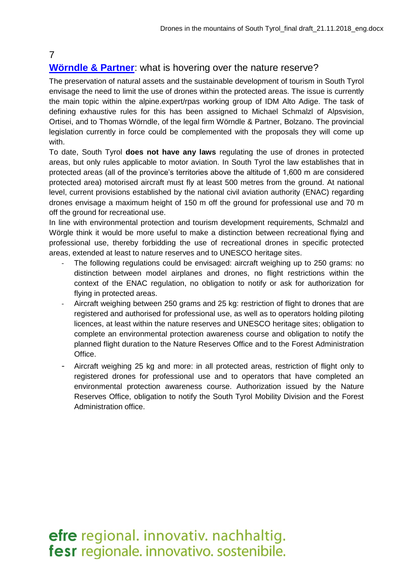#### <span id="page-20-0"></span>7 **[Wörndle & Partner](http://www.woerndle.eu/it/)**: what is hovering over the nature reserve?

The preservation of natural assets and the sustainable development of tourism in South Tyrol envisage the need to limit the use of drones within the protected areas. The issue is currently the main topic within the alpine.expert/rpas working group of IDM Alto Adige. The task of defining exhaustive rules for this has been assigned to Michael Schmalzl of Alpsvision, Ortisei, and to Thomas Wörndle, of the legal firm Wörndle & Partner, Bolzano. The provincial legislation currently in force could be complemented with the proposals they will come up with.

To date, South Tyrol **does not have any laws** regulating the use of drones in protected areas, but only rules applicable to motor aviation. In South Tyrol the law establishes that in protected areas (all of the province's territories above the altitude of 1,600 m are considered protected area) motorised aircraft must fly at least 500 metres from the ground. At national level, current provisions established by the national civil aviation authority (ENAC) regarding drones envisage a maximum height of 150 m off the ground for professional use and 70 m off the ground for recreational use.

In line with environmental protection and tourism development requirements, Schmalzl and Wörgle think it would be more useful to make a distinction between recreational flying and professional use, thereby forbidding the use of recreational drones in specific protected areas, extended at least to nature reserves and to UNESCO heritage sites.

- The following regulations could be envisaged: aircraft weighing up to 250 grams: no distinction between model airplanes and drones, no flight restrictions within the context of the ENAC regulation, no obligation to notify or ask for authorization for flying in protected areas.
- Aircraft weighing between 250 grams and 25 kg: restriction of flight to drones that are registered and authorised for professional use, as well as to operators holding piloting licences, at least within the nature reserves and UNESCO heritage sites; obligation to complete an environmental protection awareness course and obligation to notify the planned flight duration to the Nature Reserves Office and to the Forest Administration Office.
- Aircraft weighing 25 kg and more: in all protected areas, restriction of flight only to registered drones for professional use and to operators that have completed an environmental protection awareness course. Authorization issued by the Nature Reserves Office, obligation to notify the South Tyrol Mobility Division and the Forest Administration office.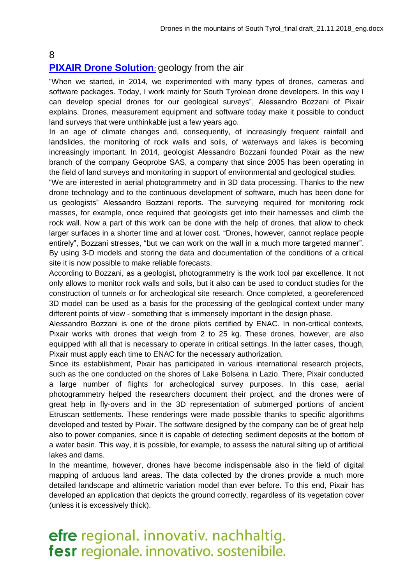#### 8

### <span id="page-21-0"></span>**[PIXAIR](http://www.pixair-dronesolution.it/) Drone Solution**: geology from the air

"When we started, in 2014, we experimented with many types of drones, cameras and software packages. Today, I work mainly for South Tyrolean drone developers. In this way I can develop special drones for our geological surveys", Alessandro Bozzani of Pixair explains. Drones, measurement equipment and software today make it possible to conduct land surveys that were unthinkable just a few years ago.

In an age of climate changes and, consequently, of increasingly frequent rainfall and landslides, the monitoring of rock walls and soils, of waterways and lakes is becoming increasingly important. In 2014, geologist Alessandro Bozzani founded Pixair as the new branch of the company Geoprobe SAS, a company that since 2005 has been operating in the field of land surveys and monitoring in support of environmental and geological studies.

"We are interested in aerial photogrammetry and in 3D data processing. Thanks to the new drone technology and to the continuous development of software, much has been done for us geologists" Alessandro Bozzani reports. The surveying required for monitoring rock masses, for example, once required that geologists get into their harnesses and climb the rock wall. Now a part of this work can be done with the help of drones, that allow to check larger surfaces in a shorter time and at lower cost. "Drones, however, cannot replace people entirely", Bozzani stresses, "but we can work on the wall in a much more targeted manner". By using 3-D models and storing the data and documentation of the conditions of a critical site it is now possible to make reliable forecasts.

According to Bozzani, as a geologist, photogrammetry is the work tool par excellence. It not only allows to monitor rock walls and soils, but it also can be used to conduct studies for the construction of tunnels or for archeological site research. Once completed, a georeferenced 3D model can be used as a basis for the processing of the geological context under many different points of view - something that is immensely important in the design phase.

Alessandro Bozzani is one of the drone pilots certified by ENAC. In non-critical contexts, Pixair works with drones that weigh from 2 to 25 kg. These drones, however, are also equipped with all that is necessary to operate in critical settings. In the latter cases, though, Pixair must apply each time to ENAC for the necessary authorization.

Since its establishment, Pixair has participated in various international research projects, such as the one conducted on the shores of Lake Bolsena in Lazio. There, Pixair conducted a large number of flights for archeological survey purposes. In this case, aerial photogrammetry helped the researchers document their project, and the drones were of great help in fly-overs and in the 3D representation of submerged portions of ancient Etruscan settlements. These renderings were made possible thanks to specific algorithms developed and tested by Pixair. The software designed by the company can be of great help also to power companies, since it is capable of detecting sediment deposits at the bottom of a water basin. This way, it is possible, for example, to assess the natural silting up of artificial lakes and dams.

In the meantime, however, drones have become indispensable also in the field of digital mapping of arduous land areas. The data collected by the drones provide a much more detailed landscape and altimetric variation model than ever before. To this end, Pixair has developed an application that depicts the ground correctly, regardless of its vegetation cover (unless it is excessively thick).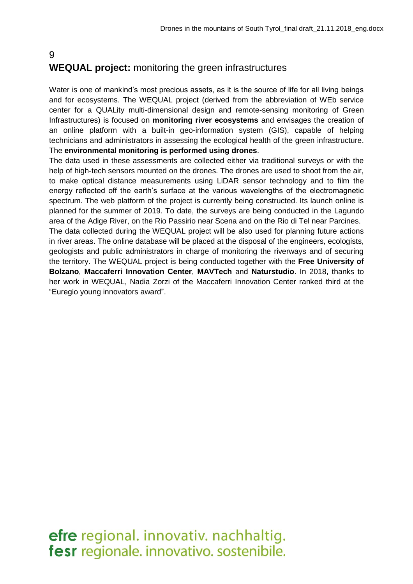### <span id="page-22-0"></span>9 **WEQUAL project:** monitoring the green infrastructures

Water is one of mankind's most precious assets, as it is the source of life for all living beings and for ecosystems. The WEQUAL project (derived from the abbreviation of WEb service center for a QUALity multi-dimensional design and remote-sensing monitoring of Green Infrastructures) is focused on **monitoring river ecosystems** and envisages the creation of an online platform with a built-in geo-information system (GIS), capable of helping technicians and administrators in assessing the ecological health of the green infrastructure. The **environmental monitoring is performed using drones**.

The data used in these assessments are collected either via traditional surveys or with the help of high-tech sensors mounted on the drones. The drones are used to shoot from the air, to make optical distance measurements using LiDAR sensor technology and to film the energy reflected off the earth's surface at the various wavelengths of the electromagnetic spectrum. The web platform of the project is currently being constructed. Its launch online is planned for the summer of 2019. To date, the surveys are being conducted in the Lagundo area of the Adige River, on the Rio Passirio near Scena and on the Rio di Tel near Parcines.

The data collected during the WEQUAL project will be also used for planning future actions in river areas. The online database will be placed at the disposal of the engineers, ecologists, geologists and public administrators in charge of monitoring the riverways and of securing the territory. The WEQUAL project is being conducted together with the **Free University of Bolzano**, **[Maccaferri Innovation Center](https://www.maccaferri.com/innovation-center/)**, **[MAVTech](http://www.mavtech.eu/it/)** and **[Naturstudio](http://www.naturstudio.it/)**. In 2018, thanks to her work in WEQUAL, Nadia Zorzi of the Maccaferri Innovation Center ranked third at the "Euregio young innovators award".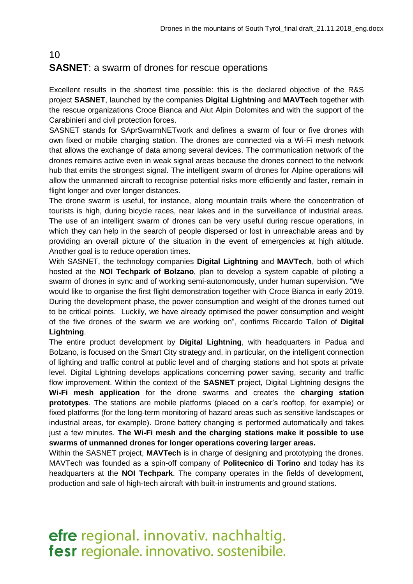#### <span id="page-23-0"></span>10 **[SASNET](http://www.mavtech.eu/en/company/projects/sasnet/)**: a swarm of drones for rescue operations

Excellent results in the shortest time possible: this is the declared objective of the R&S project **[SASNET](http://www.mavtech.eu/en/company/projects/sasnet/)**, launched by the companies **[Digital Lightning](http://www.digitallighting.it/)** and **[MAVTech](http://www.mavtech.eu/it/)** together with the rescue organizations Croce Bianca and Aiut Alpin Dolomites and with the support of the Carabinieri and civil protection forces.

SASNET stands for SAprSwarmNETwork and defines a swarm of four or five drones with own fixed or mobile charging station. The drones are connected via a Wi-Fi mesh network that allows the exchange of data among several devices. The communication network of the drones remains active even in weak signal areas because the drones connect to the network hub that emits the strongest signal. The intelligent swarm of drones for Alpine operations will allow the unmanned aircraft to recognise potential risks more efficiently and faster, remain in flight longer and over longer distances.

The drone swarm is useful, for instance, along mountain trails where the concentration of tourists is high, during bicycle races, near lakes and in the surveillance of industrial areas. The use of an intelligent swarm of drones can be very useful during rescue operations, in which they can help in the search of people dispersed or lost in unreachable areas and by providing an overall picture of the situation in the event of emergencies at high altitude. Another goal is to reduce operation times.

With SASNET, the technology companies **Digital Lightning** and **MAVTech**, both of which hosted at the **[NOI Techpark of](https://noi.bz.it/it) Bolzano**, plan to develop a system capable of piloting a swarm of drones in sync and of working semi-autonomously, under human supervision. "We would like to organise the first flight demonstration together with Croce Bianca in early 2019. During the development phase, the power consumption and weight of the drones turned out to be critical points. Luckily, we have already optimised the power consumption and weight of the five drones of the swarm we are working on", confirms Riccardo Tallon of **Digital Lightning**.

The entire product development by **Digital Lightning**, with headquarters in Padua and Bolzano, is focused on the Smart City strategy and, in particular, on the intelligent connection of lighting and traffic control at public level and of charging stations and hot spots at private level. Digital Lightning develops applications concerning power saving, security and traffic flow improvement. Within the context of the **[SASNET](http://www.mavtech.eu/en/company/projects/sasnet/)** project, Digital Lightning designs the **Wi-Fi mesh application** for the drone swarms and creates the **charging station prototypes**. The stations are mobile platforms (placed on a car's rooftop, for example) or fixed platforms (for the long-term monitoring of hazard areas such as sensitive landscapes or industrial areas, for example). Drone battery changing is performed automatically and takes just a few minutes. **The Wi-Fi mesh and the charging stations make it possible to use swarms of unmanned drones for longer operations covering larger areas.**

Within the SASNET project, **[MAVTech](http://www.mavtech.eu/it/)** is in charge of designing and prototyping the drones. MAVTech was founded as a spin-off company of **[Politecnico di Torino](https://www.polito.it/)** and today has its headquarters at the **NOI Techpark**. The company operates in the fields of development, production and sale of high-tech aircraft with built-in instruments and ground stations.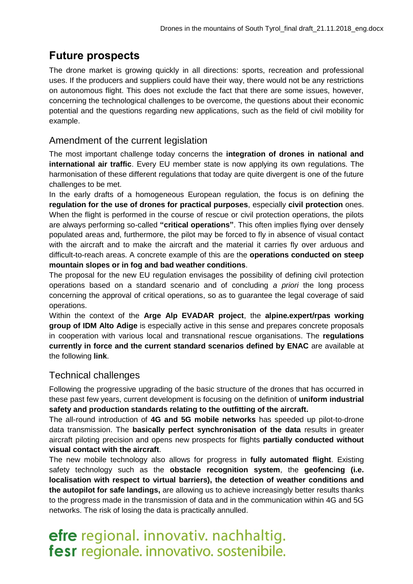### <span id="page-24-0"></span>**Future prospects**

The drone market is growing quickly in all directions: sports, recreation and professional uses. If the producers and suppliers could have their way, there would not be any restrictions on autonomous flight. This does not exclude the fact that there are some issues, however, concerning the technological challenges to be overcome, the questions about their economic potential and the questions regarding new applications, such as the field of civil mobility for example.

#### <span id="page-24-1"></span>Amendment of the current legislation

The most important challenge today concerns the **integration of drones in national and international air traffic**. Every EU member state is now applying its own regulations. The harmonisation of these different regulations that today are quite divergent is one of the future challenges to be met.

In the early drafts of a homogeneous European regulation, the focus is on defining the **regulation for the use of drones for practical purposes**, especially **civil protection** ones. When the flight is performed in the course of rescue or civil protection operations, the pilots are always performing so-called **"critical operations"**. This often implies flying over densely populated areas and, furthermore, the pilot may be forced to fly in absence of visual contact with the aircraft and to make the aircraft and the material it carries fly over arduous and difficult-to-reach areas. A concrete example of this are the **operations conducted on steep mountain slopes or in fog and bad weather conditions**.

The proposal for the new EU regulation envisages the possibility of defining civil protection operations based on a standard scenario and of concluding *a priori* the long process concerning the approval of critical operations, so as to guarantee the legal coverage of said operations.

Within the context of the **Arge Alp EVADAR project**, the **alpine.expert/rpas working group of IDM Alto Adige** is especially active in this sense and prepares concrete proposals in cooperation with various local and transnational rescue organisations. The **regulations currently in force and the current standard scenarios defined by ENAC** are available at the following **[link](https://www.enac.gov.it/La_Regolazione_per_la_Sicurezza/Note_Informative/info-22158831.html)**.

#### <span id="page-24-2"></span>Technical challenges

Following the progressive upgrading of the basic structure of the drones that has occurred in these past few years, current development is focusing on the definition of **uniform industrial safety and production standards relating to the outfitting of the aircraft.**

The all-round introduction of **4G and 5G mobile networks** has speeded up pilot-to-drone data transmission. The **basically perfect synchronisation of the data** results in greater aircraft piloting precision and opens new prospects for flights **partially conducted without visual contact with the aircraft**.

The new mobile technology also allows for progress in **fully automated flight**. Existing safety technology such as the **obstacle recognition system**, the **geofencing (i.e. localisation with respect to virtual barriers), the detection of weather conditions and the autopilot for safe landings,** are allowing us to achieve increasingly better results thanks to the progress made in the transmission of data and in the communication within 4G and 5G networks. The risk of losing the data is practically annulled.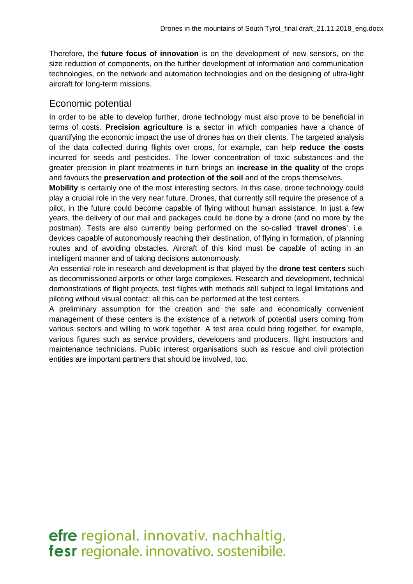Therefore, the **future focus of innovation** is on the development of new sensors, on the size reduction of components, on the further development of information and communication technologies, on the network and automation technologies and on the designing of ultra-light aircraft for long-term missions.

#### <span id="page-25-0"></span>Economic potential

In order to be able to develop further, drone technology must also prove to be beneficial in terms of costs. **Precision agriculture** is a sector in which companies have a chance of quantifying the economic impact the use of drones has on their clients. The targeted analysis of the data collected during flights over crops, for example, can help **reduce the costs** incurred for seeds and pesticides. The lower concentration of toxic substances and the greater precision in plant treatments in turn brings an **increase in the quality** of the crops and favours the **preservation and protection of the soil** and of the crops themselves.

**Mobility** is certainly one of the most interesting sectors. In this case, drone technology could play a crucial role in the very near future. Drones, that currently still require the presence of a pilot, in the future could become capable of flying without human assistance. In just a few years, the delivery of our mail and packages could be done by a drone (and no more by the postman). Tests are also currently being performed on the so-called '**travel drones**', i.e. devices capable of autonomously reaching their destination, of flying in formation, of planning routes and of avoiding obstacles. Aircraft of this kind must be capable of acting in an intelligent manner and of taking decisions autonomously.

An essential role in research and development is that played by the **drone test centers** such as decommissioned airports or other large complexes. Research and development, technical demonstrations of flight projects, test flights with methods still subject to legal limitations and piloting without visual contact: all this can be performed at the test centers.

A preliminary assumption for the creation and the safe and economically convenient management of these centers is the existence of a network of potential users coming from various sectors and willing to work together. A test area could bring together, for example, various figures such as service providers, developers and producers, flight instructors and maintenance technicians. Public interest organisations such as rescue and civil protection entities are important partners that should be involved, too.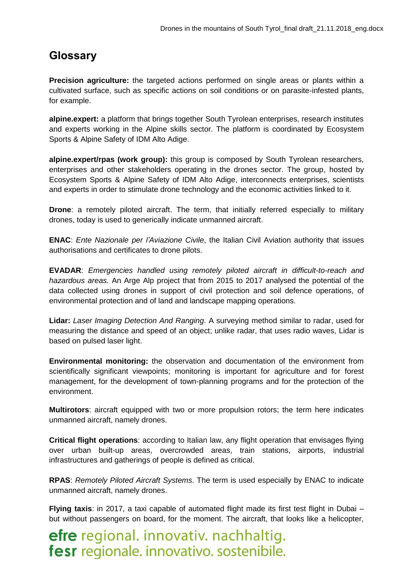### <span id="page-26-0"></span>**Glossary**

**Precision agriculture:** the targeted actions performed on single areas or plants within a cultivated surface, such as specific actions on soil conditions or on parasite-infested plants, for example.

**alpine.expert:** a platform that brings together South Tyrolean enterprises, research institutes and experts working in the Alpine skills sector. The platform is coordinated by Ecosystem Sports & Alpine Safety of IDM Alto Adige.

**alpine.expert/rpas (work group):** this group is composed by South Tyrolean researchers, enterprises and other stakeholders operating in the drones sector. The group, hosted by Ecosystem Sports & Alpine Safety of IDM Alto Adige, interconnects enterprises, scientists and experts in order to stimulate drone technology and the economic activities linked to it.

**Drone**: a remotely piloted aircraft. The term, that initially referred especially to military drones, today is used to generically indicate unmanned aircraft.

**ENAC**: *Ente Nazionale per l'Aviazione Civile*, the Italian Civil Aviation authority that issues authorisations and certificates to drone pilots.

**EVADAR**: *Emergencies handled using remotely piloted aircraft in difficult-to-reach and hazardous areas.* An Arge Alp project that from 2015 to 2017 analysed the potential of the data collected using drones in support of civil protection and soil defence operations, of environmental protection and of land and landscape mapping operations.

**Lidar:** *Laser Imaging Detection And Ranging*. A surveying method similar to radar, used for measuring the distance and speed of an object; unlike radar, that uses radio waves, Lidar is based on pulsed laser light.

**Environmental monitoring:** the observation and documentation of the environment from scientifically significant viewpoints; monitoring is important for agriculture and for forest management, for the development of town-planning programs and for the protection of the environment.

**Multirotors**: aircraft equipped with two or more propulsion rotors; the term here indicates unmanned aircraft, namely drones.

**Critical flight operations**: according to Italian law, any flight operation that envisages flying over urban built-up areas, overcrowded areas, train stations, airports, industrial infrastructures and gatherings of people is defined as critical.

**RPAS**: *Remotely Piloted Aircraft Systems*. The term is used especially by ENAC to indicate unmanned aircraft, namely drones.

**Flying taxis**: in 2017, a taxi capable of automated flight made its first test flight in Dubai – but without passengers on board, for the moment. The aircraft, that looks like a helicopter,